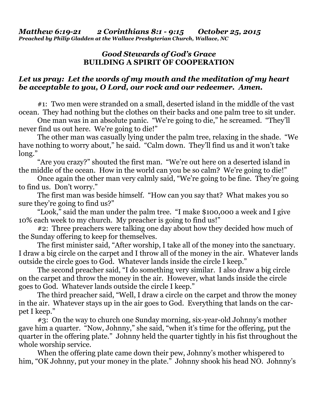## *Good Stewards of God's Grace*  **BUILDING A SPIRIT OF COOPERATION**

## *Let us pray: Let the words of my mouth and the meditation of my heart be acceptable to you, O Lord, our rock and our redeemer. Amen.*

#1:Two men were stranded on a small, deserted island in the middle of the vast ocean. They had nothing but the clothes on their backs and one palm tree to sit under.

 One man was in an absolute panic. "We're going to die," he screamed. "They'll never find us out here. We're going to die!"

 The other man was casually lying under the palm tree, relaxing in the shade. "We have nothing to worry about," he said. "Calm down. They'll find us and it won't take long."

 "Are you crazy?" shouted the first man. "We're out here on a deserted island in the middle of the ocean. How in the world can you be so calm? We're going to die!"

 Once again the other man very calmly said, "We're going to be fine. They're going to find us. Don't worry."

 The first man was beside himself. "How can you say that? What makes you so sure they're going to find us?"

 "Look," said the man under the palm tree. "I make \$100,000 a week and I give 10% each week to my church. My preacher is going to find us!"

 #2: Three preachers were talking one day about how they decided how much of the Sunday offering to keep for themselves.

 The first minister said, "After worship, I take all of the money into the sanctuary. I draw a big circle on the carpet and I throw all of the money in the air. Whatever lands outside the circle goes to God. Whatever lands inside the circle I keep."

 The second preacher said, "I do something very similar. I also draw a big circle on the carpet and throw the money in the air. However, what lands inside the circle goes to God. Whatever lands outside the circle I keep."

 The third preacher said, "Well, I draw a circle on the carpet and throw the money in the air. Whatever stays up in the air goes to God. Everything that lands on the carpet I keep."

 #3: On the way to church one Sunday morning, six-year-old Johnny's mother gave him a quarter. "Now, Johnny," she said, "when it's time for the offering, put the quarter in the offering plate." Johnny held the quarter tightly in his fist throughout the whole worship service.

 When the offering plate came down their pew, Johnny's mother whispered to him, "OK Johnny, put your money in the plate." Johnny shook his head NO. Johnny's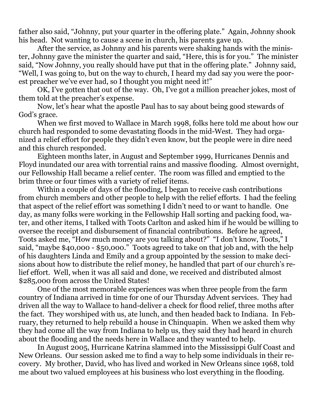father also said, "Johnny, put your quarter in the offering plate." Again, Johnny shook his head. Not wanting to cause a scene in church, his parents gave up.

 After the service, as Johnny and his parents were shaking hands with the minister, Johnny gave the minister the quarter and said, "Here, this is for you." The minister said, "Now Johnny, you really should have put that in the offering plate." Johnny said, "Well, I was going to, but on the way to church, I heard my dad say you were the poorest preacher we've ever had, so I thought you might need it!"

 OK, I've gotten that out of the way. Oh, I've got a million preacher jokes, most of them told at the preacher's expense.

 Now, let's hear what the apostle Paul has to say about being good stewards of God's grace.

 When we first moved to Wallace in March 1998, folks here told me about how our church had responded to some devastating floods in the mid-West. They had organized a relief effort for people they didn't even know, but the people were in dire need and this church responded.

 Eighteen months later, in August and September 1999, Hurricanes Dennis and Floyd inundated our area with torrential rains and massive flooding. Almost overnight, our Fellowship Hall became a relief center. The room was filled and emptied to the brim three or four times with a variety of relief items.

 Within a couple of days of the flooding, I began to receive cash contributions from church members and other people to help with the relief efforts. I had the feeling that aspect of the relief effort was something I didn't need to or want to handle. One day, as many folks were working in the Fellowship Hall sorting and packing food, water, and other items, I talked with Toots Carlton and asked him if he would be willing to oversee the receipt and disbursement of financial contributions. Before he agreed, Toots asked me, "How much money are you talking about?" "I don't know, Toots," I said, "maybe \$40,000 - \$50,000." Toots agreed to take on that job and, with the help of his daughters Linda and Emily and a group appointed by the session to make decisions about how to distribute the relief money, he handled that part of our church's relief effort. Well, when it was all said and done, we received and distributed almost \$285,000 from across the United States!

 One of the most memorable experiences was when three people from the farm country of Indiana arrived in time for one of our Thursday Advent services. They had driven all the way to Wallace to hand-deliver a check for flood relief, three moths after the fact. They worshiped with us, ate lunch, and then headed back to Indiana. In February, they returned to help rebuild a house in Chinquapin. When we asked them why they had come all the way from Indiana to help us, they said they had heard in church about the flooding and the needs here in Wallace and they wanted to help.

 In August 2005, Hurricane Katrina slammed into the Mississippi Gulf Coast and New Orleans. Our session asked me to find a way to help some individuals in their recovery. My brother, David, who has lived and worked in New Orleans since 1968, told me about two valued employees at his business who lost everything in the flooding.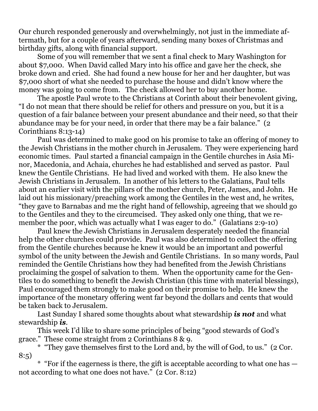Our church responded generously and overwhelmingly, not just in the immediate aftermath, but for a couple of years afterward, sending many boxes of Christmas and birthday gifts, along with financial support.

 Some of you will remember that we sent a final check to Mary Washington for about \$7,000. When David called Mary into his office and gave her the check, she broke down and cried. She had found a new house for her and her daughter, but was \$7,000 short of what she needed to purchase the house and didn't know where the money was going to come from. The check allowed her to buy another home.

 The apostle Paul wrote to the Christians at Corinth about their benevolent giving, "I do not mean that there should be relief for others and pressure on you, but it is a question of a fair balance between your present abundance and their need, so that their abundance may be for your need, in order that there may be a fair balance." (2 Corinthians 8:13-14)

 Paul was determined to make good on his promise to take an offering of money to the Jewish Christians in the mother church in Jerusalem. They were experiencing hard economic times. Paul started a financial campaign in the Gentile churches in Asia Minor, Macedonia, and Achaia, churches he had established and served as pastor. Paul knew the Gentile Christians. He had lived and worked with them. He also knew the Jewish Christians in Jerusalem. In another of his letters to the Galatians, Paul tells about an earlier visit with the pillars of the mother church, Peter, James, and John. He laid out his missionary/preaching work among the Gentiles in the west and, he writes, "they gave to Barnabas and me the right hand of fellowship, agreeing that we should go to the Gentiles and they to the circumcised. They asked only one thing, that we remember the poor, which was actually what I was eager to do." (Galatians 2:9-10)

 Paul knew the Jewish Christians in Jerusalem desperately needed the financial help the other churches could provide. Paul was also determined to collect the offering from the Gentile churches because he knew it would be an important and powerful symbol of the unity between the Jewish and Gentile Christians. In so many words, Paul reminded the Gentile Christians how they had benefited from the Jewish Christians proclaiming the gospel of salvation to them. When the opportunity came for the Gentiles to do something to benefit the Jewish Christian (this time with material blessings), Paul encouraged them strongly to make good on their promise to help. He knew the importance of the monetary offering went far beyond the dollars and cents that would be taken back to Jerusalem.

 Last Sunday I shared some thoughts about what stewardship *is not* and what stewardship *is*.

 This week I'd like to share some principles of being "good stewards of God's grace." These come straight from 2 Corinthians 8 & 9.

 \* "They gave themselves first to the Lord and, by the will of God, to us." (2 Cor. 8:5)

 \* "For if the eagerness is there, the gift is acceptable according to what one has not according to what one does not have." (2 Cor. 8:12)